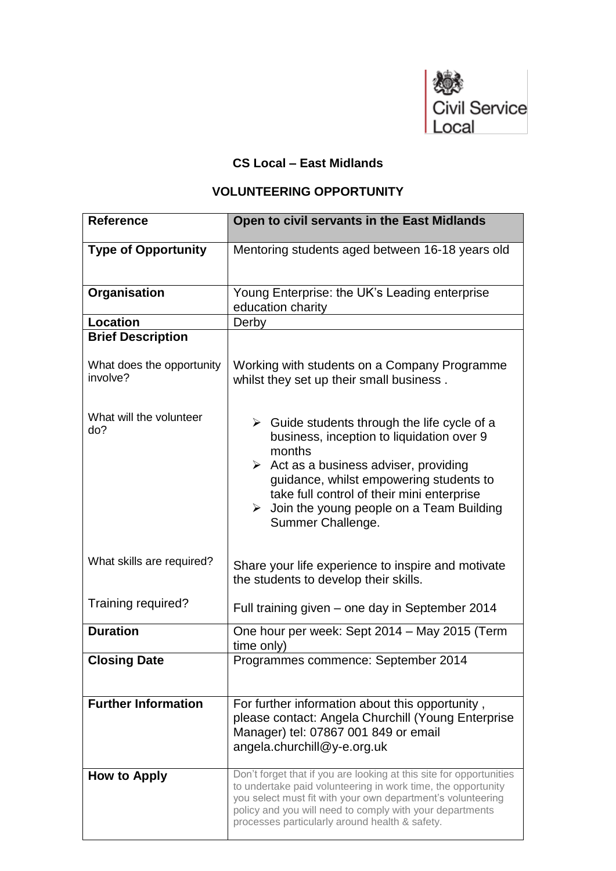

## **CS Local – East Midlands**

## **VOLUNTEERING OPPORTUNITY**

| <b>Reference</b>                      | Open to civil servants in the East Midlands                                                                                                                                                                                                                                                                                                            |
|---------------------------------------|--------------------------------------------------------------------------------------------------------------------------------------------------------------------------------------------------------------------------------------------------------------------------------------------------------------------------------------------------------|
| <b>Type of Opportunity</b>            | Mentoring students aged between 16-18 years old                                                                                                                                                                                                                                                                                                        |
| Organisation                          | Young Enterprise: the UK's Leading enterprise<br>education charity                                                                                                                                                                                                                                                                                     |
| <b>Location</b>                       | Derby                                                                                                                                                                                                                                                                                                                                                  |
| <b>Brief Description</b>              |                                                                                                                                                                                                                                                                                                                                                        |
| What does the opportunity<br>involve? | Working with students on a Company Programme<br>whilst they set up their small business.                                                                                                                                                                                                                                                               |
| What will the volunteer<br>do?        | $\triangleright$ Guide students through the life cycle of a<br>business, inception to liquidation over 9<br>months<br>$\triangleright$ Act as a business adviser, providing<br>guidance, whilst empowering students to<br>take full control of their mini enterprise<br>$\triangleright$ Join the young people on a Team Building<br>Summer Challenge. |
| What skills are required?             | Share your life experience to inspire and motivate<br>the students to develop their skills.                                                                                                                                                                                                                                                            |
| Training required?                    | Full training given – one day in September 2014                                                                                                                                                                                                                                                                                                        |
| <b>Duration</b>                       | One hour per week: Sept 2014 - May 2015 (Term<br>time only)                                                                                                                                                                                                                                                                                            |
| <b>Closing Date</b>                   | Programmes commence: September 2014                                                                                                                                                                                                                                                                                                                    |
| <b>Further Information</b>            | For further information about this opportunity,<br>please contact: Angela Churchill (Young Enterprise<br>Manager) tel: 07867 001 849 or email<br>angela.churchill@y-e.org.uk                                                                                                                                                                           |
| How to Apply                          | Don't forget that if you are looking at this site for opportunities<br>to undertake paid volunteering in work time, the opportunity<br>you select must fit with your own department's volunteering<br>policy and you will need to comply with your departments<br>processes particularly around health & safety.                                       |